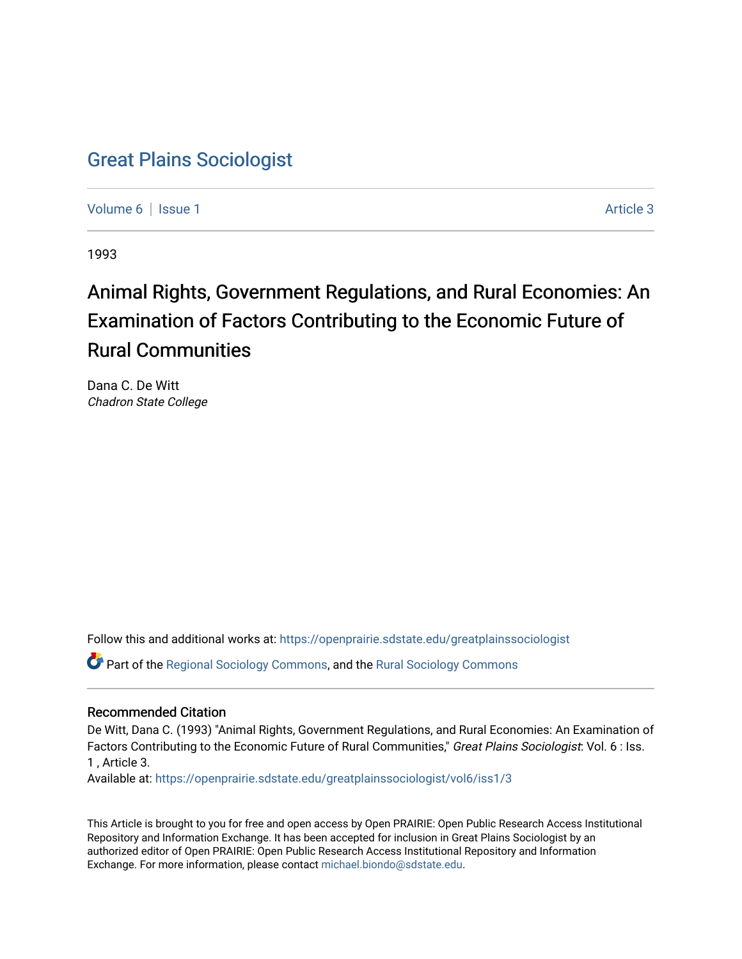## [Great Plains Sociologist](https://openprairie.sdstate.edu/greatplainssociologist)

[Volume 6](https://openprairie.sdstate.edu/greatplainssociologist/vol6) | [Issue 1](https://openprairie.sdstate.edu/greatplainssociologist/vol6/iss1) Article 3

1993

# Animal Rights, Government Regulations, and Rural Economies: An Examination of Factors Contributing to the Economic Future of Rural Communities

Dana C. De Witt Chadron State College

Follow this and additional works at: [https://openprairie.sdstate.edu/greatplainssociologist](https://openprairie.sdstate.edu/greatplainssociologist?utm_source=openprairie.sdstate.edu%2Fgreatplainssociologist%2Fvol6%2Fiss1%2F3&utm_medium=PDF&utm_campaign=PDFCoverPages) 

Part of the [Regional Sociology Commons](http://network.bepress.com/hgg/discipline/427?utm_source=openprairie.sdstate.edu%2Fgreatplainssociologist%2Fvol6%2Fiss1%2F3&utm_medium=PDF&utm_campaign=PDFCoverPages), and the [Rural Sociology Commons](http://network.bepress.com/hgg/discipline/428?utm_source=openprairie.sdstate.edu%2Fgreatplainssociologist%2Fvol6%2Fiss1%2F3&utm_medium=PDF&utm_campaign=PDFCoverPages) 

#### Recommended Citation

De Witt, Dana C. (1993) "Animal Rights, Government Regulations, and Rural Economies: An Examination of Factors Contributing to the Economic Future of Rural Communities," Great Plains Sociologist: Vol. 6 : Iss. 1 , Article 3.

Available at: [https://openprairie.sdstate.edu/greatplainssociologist/vol6/iss1/3](https://openprairie.sdstate.edu/greatplainssociologist/vol6/iss1/3?utm_source=openprairie.sdstate.edu%2Fgreatplainssociologist%2Fvol6%2Fiss1%2F3&utm_medium=PDF&utm_campaign=PDFCoverPages) 

This Article is brought to you for free and open access by Open PRAIRIE: Open Public Research Access Institutional Repository and Information Exchange. It has been accepted for inclusion in Great Plains Sociologist by an authorized editor of Open PRAIRIE: Open Public Research Access Institutional Repository and Information Exchange. For more information, please contact [michael.biondo@sdstate.edu.](mailto:michael.biondo@sdstate.edu)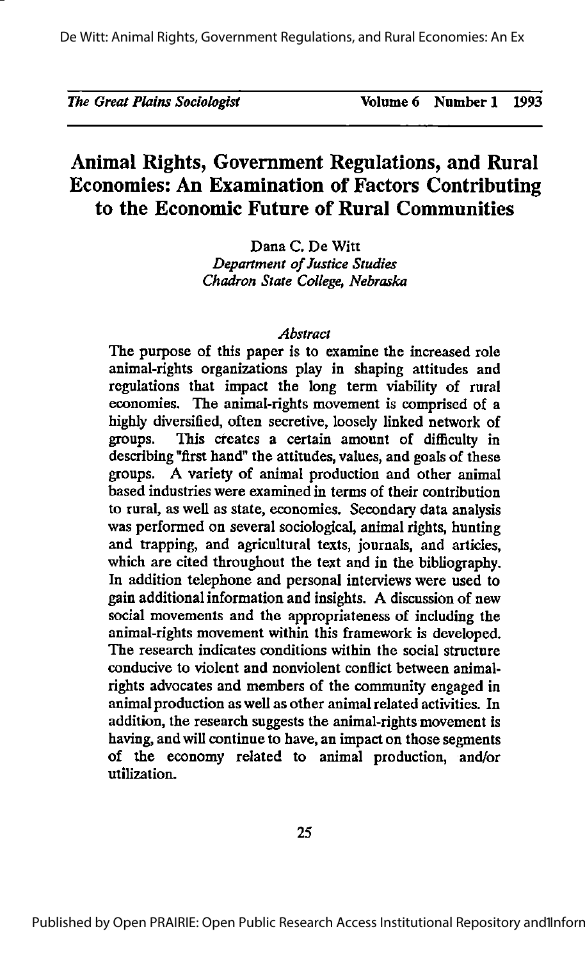|  |  | The Great Plains Sociologist |  |  |  |
|--|--|------------------------------|--|--|--|
|--|--|------------------------------|--|--|--|

### Animal Rights, Government Regulations, and Rural Economies: An Examination of Factors Contributing to the Economic Future of Rural Communities

Dana C. De Witt Department of Justice Studies Chadron State College, Nebraska

#### Abstract

The purpose of this paper is to examine the increased role animal-rights organizations play in shaping attitudes and regulations that impact the long term viability of rural economies. The animal-rights movement is comprised of a highly diversified, often secretive, loosely linked network of groups. This creates a certain amount of difficulty in This creates a certain amount of difficulty in describing "first hand" the attitudes, values, and goals of these groups. A variety of animal production and other animal based industries were examined in terms of their contribution to rural, as well as state, economies. Secondary data analysis was performed on several sociological, animal rights, hunting and trapping, and agricultural texts, journals, and articles, which are cited throughout the text and in the bibliography. In addition telephone and personal interviews were used to gain additional information and insights. A discussion of new social movements and the appropriateness of including the animal-rights movement within this framework is developed. The research indicates conditions within the social structure conducive to violent and nonviolent conflict between animalrights advocates and members of the community engaged in animal production as well as other animalrelated activities. In addition, the research suggests the animal-rights movement is having, and will continue to have, an impact on those segments of the economy related to animal production, and/or utilization.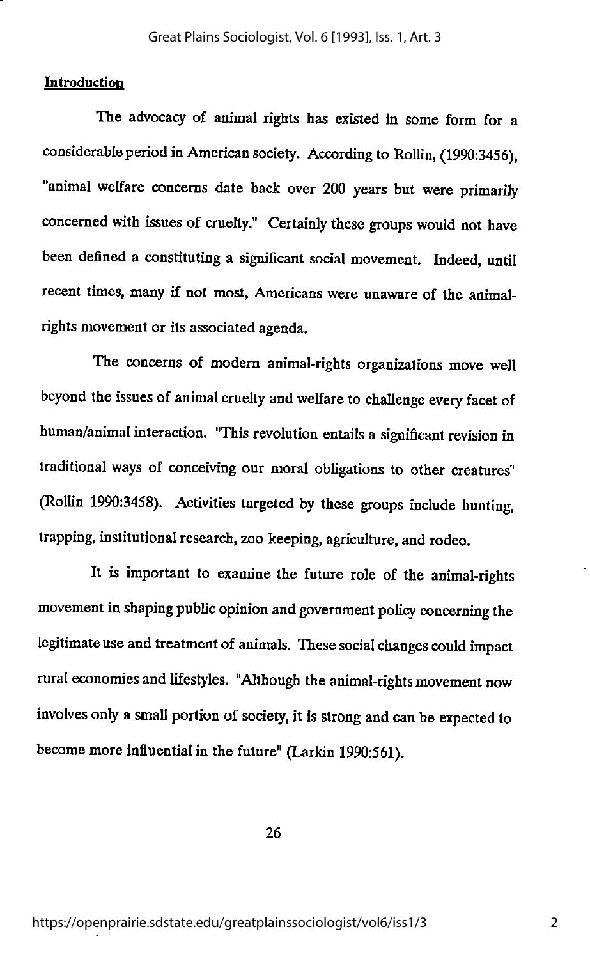#### Introduction

The advocacy of animal rights has existed in some form for a considerable period in American society. According to Rollin, (1990:3456), "animal welfare concerns date back over 200 years but were primarily concerned with issues of cruelty." Certainly these groups would not have been defined a constituting a significant social movement. Indeed, until recent times, many if not most, Americans were unaware of the animalrights movement or its associated agenda.

The concerns of modem animal-rights organizations move well beyond the issues of animal cruelty and welfare to challenge every facet of human/animal interaction. "This revolution entails a significant revision in traditional ways of conceiving our moral obligations to other creatures" (Rollin 1990:3458). Activities targeted by these groups include hunting, trapping, institutional research, zoo keeping, agriculture, and rodeo.

It is important to examine the future role of the animal-rights movement in shaping public opinion and government policy concerning the legitimate use and treatment of animals. These social changes could impact rural economies and lifestyles. "Although the animal-rights movement now involves only a small portion of society, it is strong and can be expected to become more influential in the future" (Larkin 1990:561).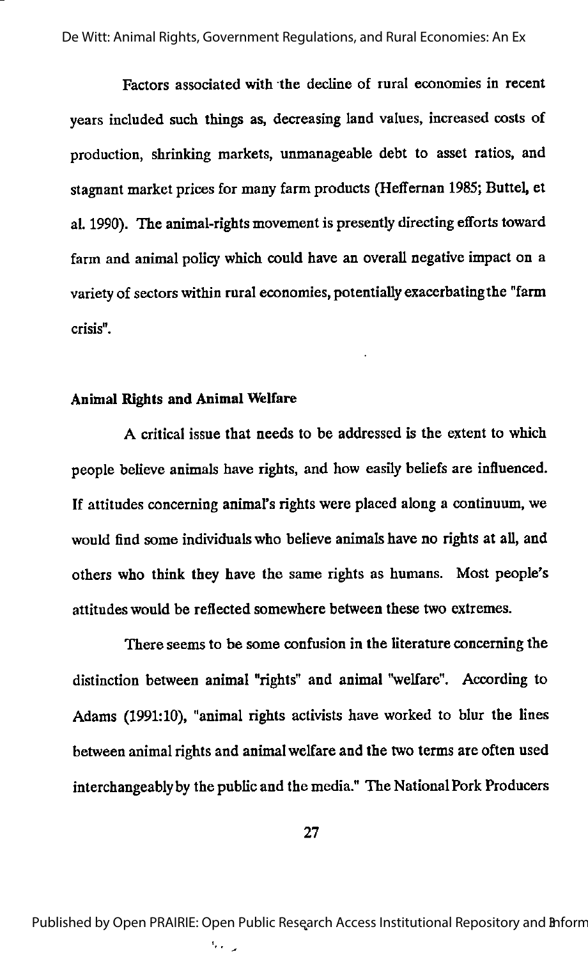Factors associated with the decline of rural economies in recent years included such things as, decreasing land values, increased costs of production, shrinking markets, unmanageable debt to asset ratios, and stagnant market prices for many farm products (Heffeman 1985; Buttel, et al. 1990). The animal-rights movement is presentty directing efforts toward farm and animal policy which could have an overall negative impact on a variety of sectors within rural economies, potentially exacerbating the "farm crisis".

#### Animal Rights and Animal Welfare

A critical issue that needs to be addressed is the extent to which people believe animals have rights, and how easily beliefs are influenced. If attitudes concerning animal's rights were placed along a continuum, we would find some individuals who believe animals have no rights at all, and others who think they have the same rights as humans. Most people's attitudes would be reflected somewhere between these two extremes.

There seems to be some confusion in the literature concerning the distinction between animal "rights" and animal "welfare". According to Adams (1991:10), "animal rights activists have worked to blur the lines between animal rights and animal welfare and the two terms are often used interchangeablyby the public and the media." The NationalPork Producers

Published by Open PRAIRIE: Open Public Research Access Institutional Repository and Bnform

ς,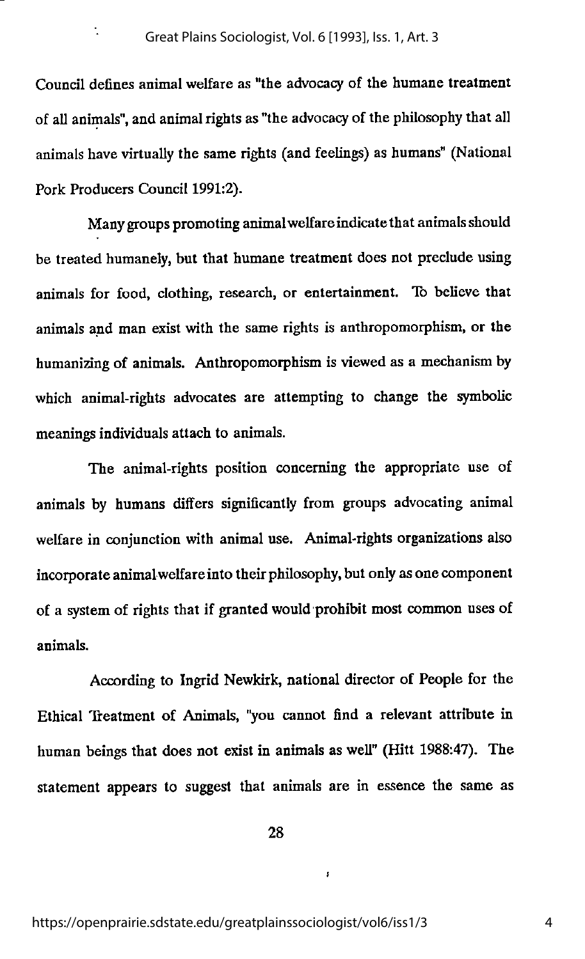$\ddot{\cdot}$ 

Council defines animal welfare as "the advocacy of the humane treatment of all animals", and animal rights as "the advocacyof the philosophy that all animals have virtually the same rights (and feelings) as humans" (National Pork Producers Council 1991:2).

Many groups promoting animal welfare indicate that animals should be treated humanely, but that humane treatment does not preclude using animals for food, clothing, research, or entertainment. To believe that animals and man exist with the same rights is anthropomorphism, or the humanizing of animals. Anthropomorphism is viewed as a mechanismby which animal-rights advocates are attempting to change the symbolic meanings individuals attach to animals.

The animal-rights position concerning the appropriate use of animals by humans differs significantly from groups advocating animal welfare in conjunction with animal use. Animal-rights organizations also incorporate animalwelfareinto their philosophy, but onlyas one component of a system of rights that if grantedwould prohibit most common uses of animals.

According to Ingrid Newkirk, national director of People for the Ethical Treatment of Animals, "you cannot find a relevant attribute in human beings that does not exist in animals as well" (Hitt 1988:47). The statement appears to suggest that animals are in essence the same as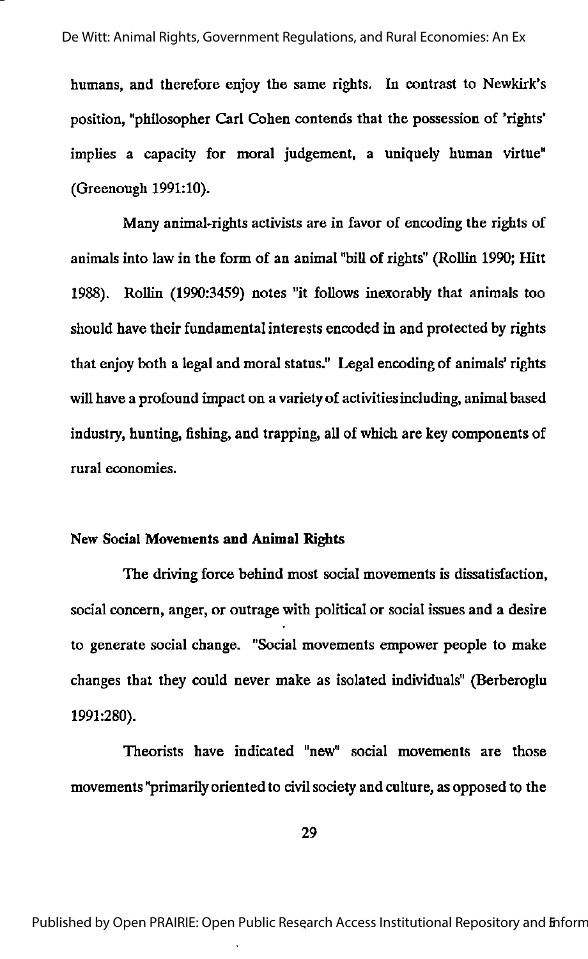humans, and therefore enjoy the same rights. In contrast to Newkirk's position, "philosopher Carl Cohen contends that the possession of 'rights' implies a capacity for moral judgement, a uniquely human virtue" (Greenough 1991:10).

Many animal>rights activists are in favor of encoding the rights of animals into law in the form of an animal "bill of rights" (Rollin 1990; Hitt 1988). Rollin (1990:3459) notes "it follows inexorably that animals too should have their fundamental interests encoded in and protected by rights that enjoy both a legal and moral status." Legal encoding of animals' rights will have a profound impact on a variety of activities including, animal based industry, hunting, fishing, and trapping, all of which are key components of rural economies.

#### New Social Movements and Animal Rights

The driving force behind most social movements is dissatisfaction, social concern, anger, or outrage with political or social issues and a desire to generate social change. "Social movements empower people to make changes that they could never make as isolated individuals" (Berberoglu 1991:280).

Theorists have indicated "new" social movements are those movements "primarily orientedto civilsociety and culture, as opposed to the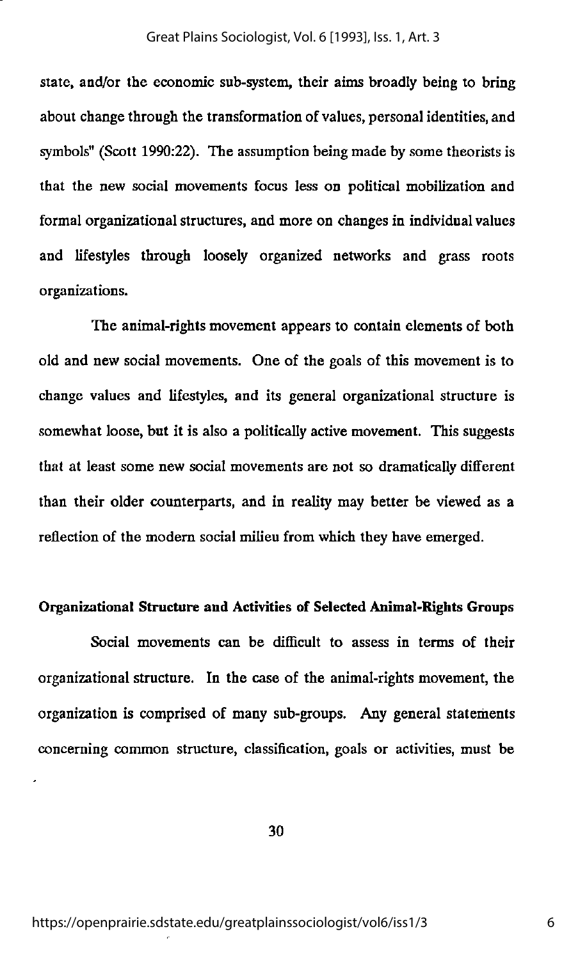state, and/or the economic sub-system, their aims broadly being to bring about change through the transformation of values, personal identities, and symbols" (Scott 1990:22). The assumption being made by some theorists is that the new social movements focus less on political mobilization and formal organizational structures, and more on changes in individual values and lifestyles through loosely organized networks and grass roots organizations.

The animal-rights movement appears to contain elements of both old and new social movements. One of the goals of this movement is to change values and lifestyles, and its general organizational structure is somewhat loose, but it is also a politically active movement. This suggests that at least some new social movements are not so dramatically different than their older counterparts, and in reality may belter be viewed as a reflection of the modem social milieu from which they have emerged.

#### Organizational Structure and Activities of Selected Animal-Rights Groups

Social movements can be difficult to assess in terms of their organizational structure. In the case of the animal-rights movement, the organization is comprised of many sub-groups. Any general statements concerning common structure, classification, goals or activities, must be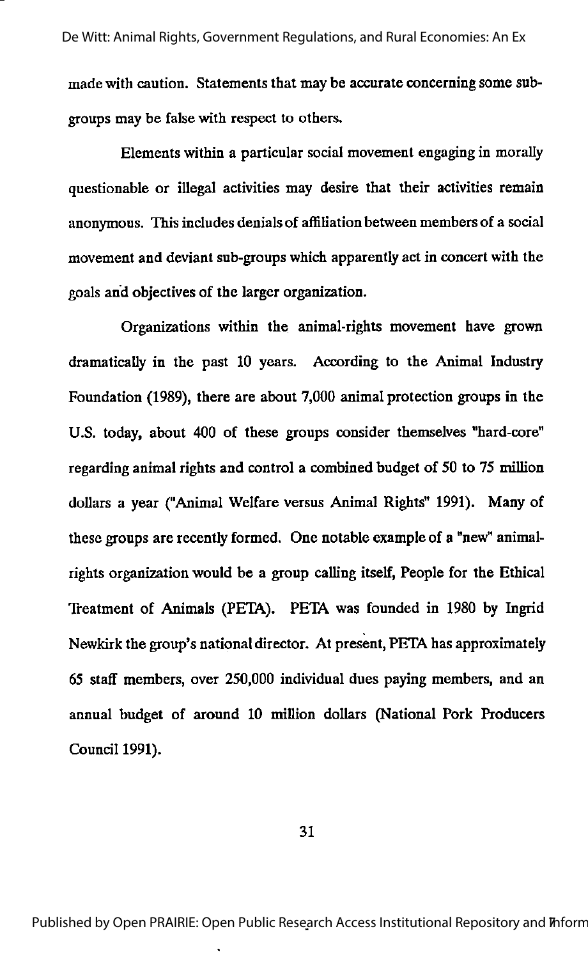made with caution. Statements that may be accurate concerning some sub groups may be false with respect to others.

Elements within a particular social movement engaging in morally questionable or illegal activities may desire that their activities remain anonymous. This includes denials of affiliation between members of a social movement and deviant sub-groups which apparently act in concert with the goals and objectives of the larger organization.

Organizations within the animal-rights movement have grown dramatically in the past 10 years. According to the Animal Industry Foundation (1989), there are about 7,000 animal protection groups in the U.S. today, about 400 of these groups consider themselves "hard-core" regarding animal rights and control a combined budget of 50 to 75 million dollars a year ("Animal Welfare versus Animal Rights" 1991). Many of these groups are recently formed. One notable example of a "new" animalrights organization would be a group calling itself. People for the Ethical Treatment of Animals (PETA). PETA was founded in 1980 by Ingrid Newkirk the group's national director. At present, PETA has approximately 65 sta£f members, over 250,000 individual dues paying members, and an annual budget of around 10 million dollars (National Pork Producers Council 1991).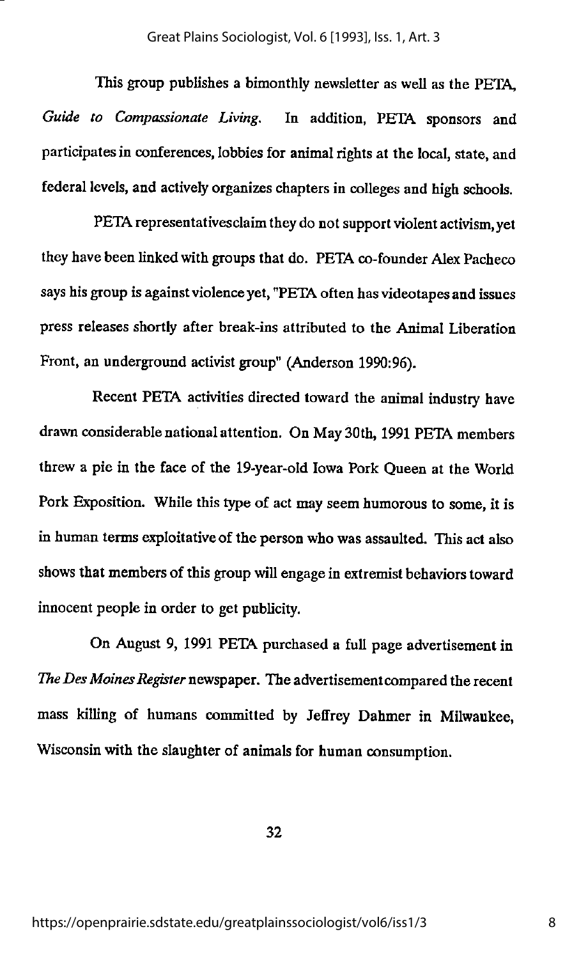This group publishes a bimonthly newsletter as well as the PETA, Guide to Compassionate Living. In addition, PETA sponsors and participates in conferences, lobbies for animal rights at the local, state, and federal levels, and actively organizes chapters in colleges and high schools.

PETA representatives claim they do not support violent activism, yet they have been linked with groups that do. PETA co-founder Alex Pacheco says his group is against violence yet, "PETA often has videotapes and issues press releases shortly after break-ins attributed to the Animal Liberation Front, an underground activist group" (Anderson 1990:96).

Recent PETA activities directed toward the animal industry have drawn considerable national attention. On May 30th, 1991 PETA members threw a pie in the face of the 19-year-old Iowa Pork Queen at the World Pork Exposition. While this type of act may seem humorous to some, it is in human terms exploitative of the person who was assaulted. This act also shows that members of this group will engage in extremist behaviors toward innocent people in order to get publicity.

On August 9, 1991 PETA purchased a full page advertisement in The Des Moines Register newspaper. The advertisement compared the recent mass killing of humans committed by Jeffrey Dahmer in Milwaukee, Wisconsin with the slaughter of animals for human consumption.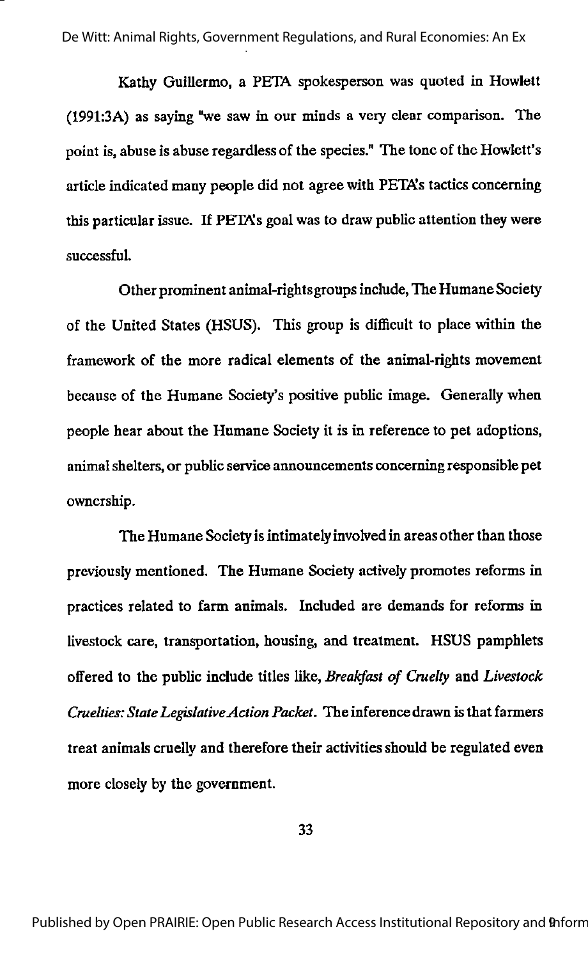De Witt: Animal Rights, Government Regulations, and Rural Economies: An Ex

Kathy Guillermo, a PETA spokesperson was quoted in Howlett  $(1991:3A)$  as saying "we saw in our minds a very clear comparison. The point is,abuse is abuse regardlessof the species." The tone of the Howlett's article indicated many people did not agree with PETAs tactics concerning this particular issue. If PETAs goal was to draw public attention they were successful.

Other prominent animal-rightsgroups include,The HumaneSociety of the United States (HSUS). This group is difficult to place within the framework of the more radical elements of the animal-rights movement because of the Humane Society's positive public image. Generally when people hear about the Humane Society it is in reference to pet adoptions, animal shelters, or public service announcements concerning responsible pet ownership.

The Humane Society is intimately involved in areas other than those previously mentioned. The Humane Society activelypromotes reforms in practices related to farm animals. Included are demands for reforms in livestock care, transportation, housing, and treatment. HSUS pamphlets offered to the public include titles like, Breakfast of Cruelty and Livestock Cruelties: State Legislative Action Packet. The inference drawn is that farmers treat animals cruelly and therefore their activities should be regulated even more closefy by the government.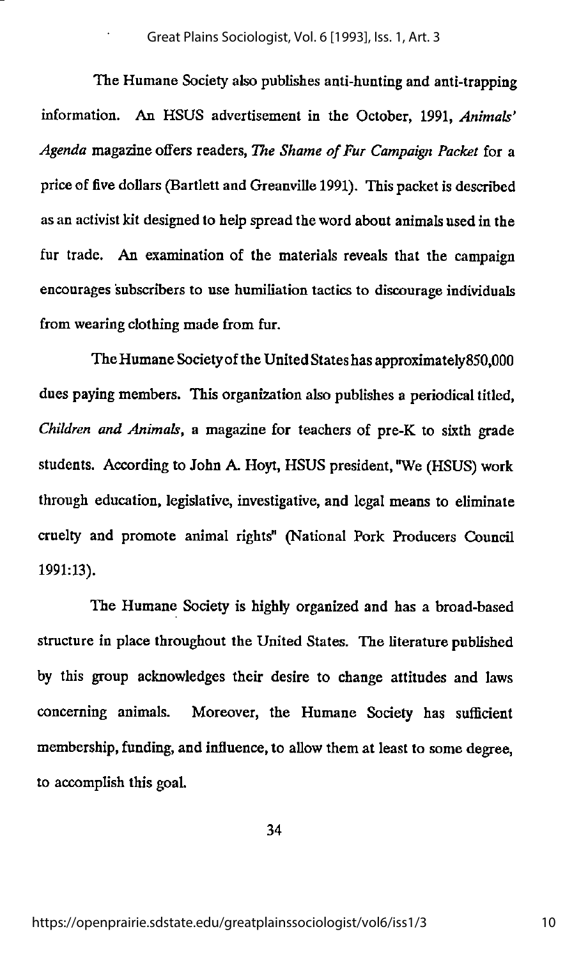#### Great Plains Sociologist, Vol. 6 [1993], Iss. 1, Art. 3

The Humane Society also publishes anti-hunting and anti-trapping information. An HSUS advertisement in the October, 1991, Animals' Agenda magazine offers readers, The Shame of Fur Campaign Packet for a price of five dollars (Bartlett and Greanville 1991). This packet is described as an activist kit designed to help spread the word about animals used in the fur trade. An examination of the materials reveals that the campaign encourages subscribers to use humiliation tactics to discourage individuals from wearing clothing made from fur.

The Humane Societyof the United Stateshas approximately850,000 dues paying members. This organization also publishes a periodical titled, Children and Animals, a magazine for teachers of pre-K to sixth grade students. According to John A. Hoyt, HSUS president, "We (HSUS) work through education, legislative, investigative, and legal means to eliminate cruelty and promote animal rights" (National Pork Producers Council 1991:13).

The Humane Society is highly organized and has a broad-based structure in place throughout the United States. The literature published by this group acknowledges their desire to change attitudes and laws concerning animals. Moreover, the Humane Society has sufficient membership, funding, and influence, to allow them at least to some degree, to accomplish this goal.

34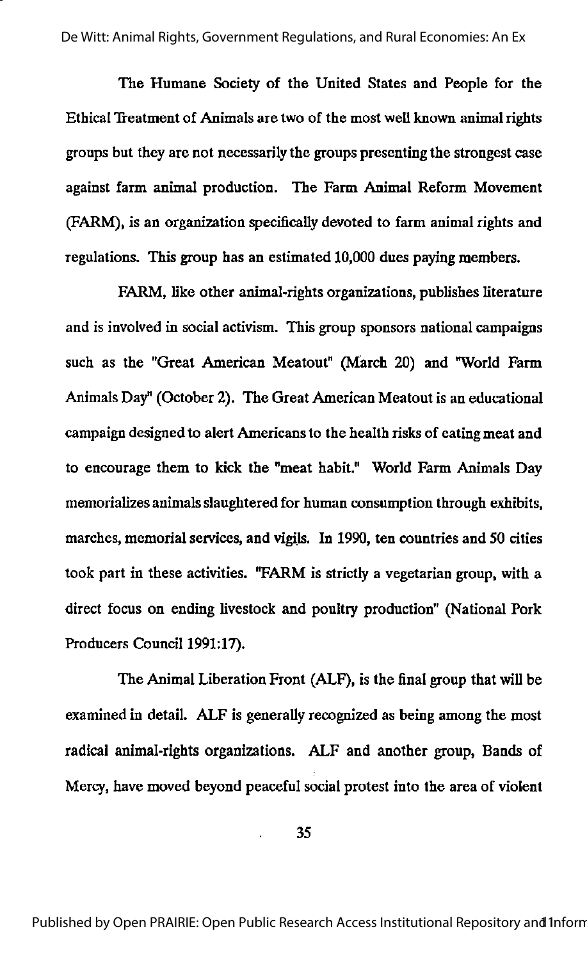The Humane Society of the United States and People for the Ethical Treatment of Animals are two of the most well known animal rights groups but they are not necessarily the groups presenting the strongest case against farm animal production. The Farm Animal Reform Movement (FARM), is an organization specifically devoted to farm animal rights and regulations. This group has an estimated 10,000 dues paying members.

FARM, like other animal-rights organizations, publishes literature and is involved in social activism. This group sponsors national campaigns such as the "Great American Meatout" (March 20) and "World Farm Animals Day" (October 2). The Great American Meatout is an educational campaign designed to alert Americans to the health risks of eating meat and to encourage them to kick the "meat habit." World Farm Animals Day memorializes animals slaughtered for human consumption through exhibits, marches, memorial services, and vigils. In 1990, ten countries and 50 cities took part in these activities. "FARM is strictly a vegetarian group, with a direct focus on ending livestock and poultiy production" (National Pork Producers Council 1991:17).

The Animal Liberation Front (ALF), is the final group that will be examined in detail. ALF is generally recognized as being among the most radical animal-rights organizations. ALF and another group, Bands of Mercy, have moved beyond peaceful social protest into the area of violent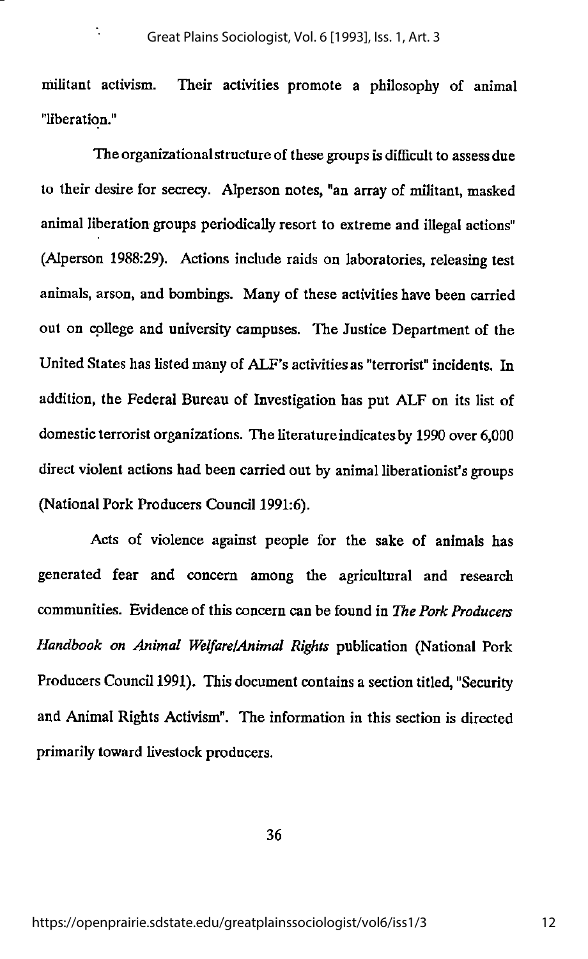÷,

militant activism. Their activities promote a philosophy of animal "liberation."

The organizationalstructure of these groups is difficult to assess due to their desire for secre<y. Alperson notes, "an array of militant, masked animal liberation groups periodically resort to extreme and illegal actions" (Alperson 1988:29). Actions include raids on laboratories, releasing test animals, arson, and bombings. Many of these activities have been carried out on college and university campuses. The Justice Department of the United States has listed many of ALF's activitiesas "terrorist" incidents. In addition, the Federal Bureau of Investigation has put ALF on its list of domestic terrorist organizations. The literature indicates by 1990 over 6,000 direct violent actions had been carried out by animal liberationist's groups (National Pork Producers Council 1991:6).

Acts of violence against people for the sake of animals has generated fear and concern among the agricultural and research communities. Evidence of this concern can be found in The Pork Producers Handbook on Animal WelfarelAnimal Rights publication (National Pork Producers Council 1991). This document contains a section titled, "Security and Animal Rights Activism". The information in this section is directed primarily toward livestock producers.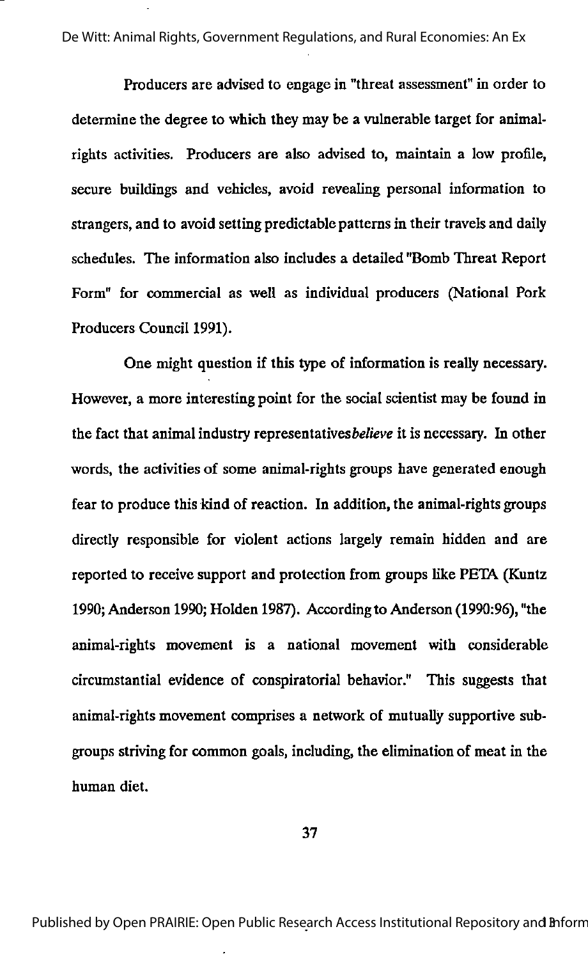De Witt: Animal Rights, Government Regulations, and Rural Economies: An Ex

Producers are advised to engage in "threat assessment" in order to determine the degree to which they may be a vulnerable target for animalrights activities. Producers are also advised to, maintain a low profile, secure buildings and vehicles, avoid revealing personal information to strangers, and to avoid setting predictable patterns in their travels and daily schedules. The information also includes a detailed "Bomb Threat Report Form" for commercial as well as individual producers (National Pork Producers Council 1991).

One might question if this type of information is really necessary. However, a more interesting point for the social scientist may be found in the fact that animal industry representatives believe it is necessary. In other words, the activities of some animal-rights groups have generated enough fear to produce this kind of reaction. In addition, the animal-rights groups directly responsible for violent actions largely remain hidden and are reported to receive support and protection from groups like PETA (Kuntz 1990; Anderson 1990; Holden 1987). According to Anderson (1990:96), "the animal-rights movement is a national movement with considerable circumstantial evidence of conspiratorial behavior." This suggests that animal-rights movement comprises a network of mutually supportive sub groups striving for common goals, including, the elimination of meat in the human diet.

37

Published by Open PRAIRIE: Open Public Research Access Institutional Repository and Inform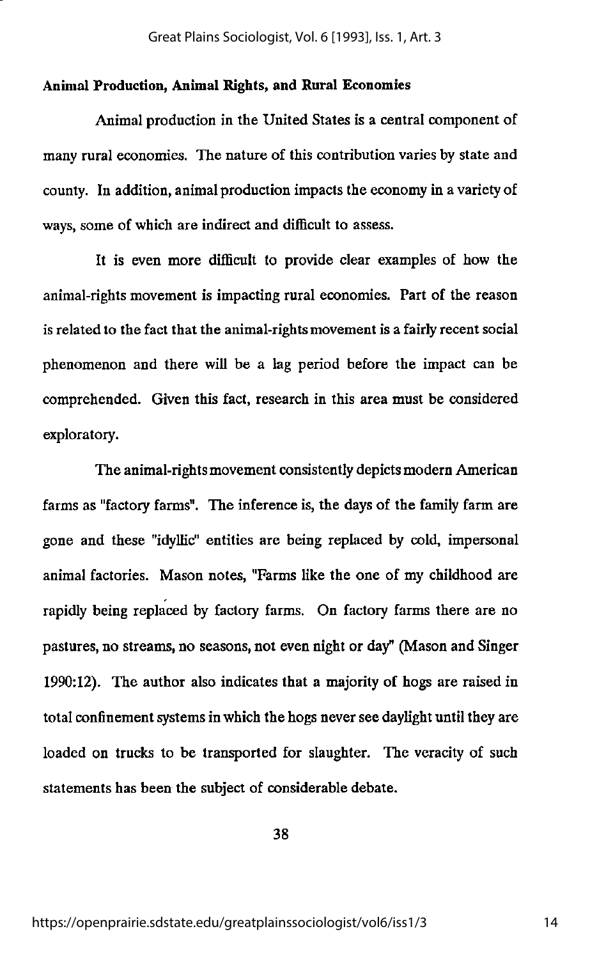#### Animal Production, Animal Rights, and Rural Economies

Animal production in the United States is a central component of many rural economies. The nature of this contribution varies by state and county. In addition, animal production impacts the economy in a variety of ways, some of which are indirect and difficult to assess.

It is even more difficult to provide clear examples of how the animal-rights movement is impacting rural economies. Part of the reason is related to the fact that the animal-rights movement is a fairly recent social phenomenon and there will be a lag period before the impact can be comprehended. Given this fact, research in this area must be considered exploratory.

The animal-rights movement consistently depicts modern American farms as "factory farms". The inference is, the days of the family farm are gone and these "idyllic" entities are being replaced by cold, impersonal animal factories. Mason notes, "Farms like the one of my childhood are rapidly being replaced by factory farms. On factory farms there are no pastures, no streams, no seasons, not even night or day" (Mason and Singer 1990:12). The author also indicates that a majority of hogs are raised in total confinement systems in which the hogs never see daylight until they are loaded on trucks to be transported for slaughter. The veracity of such statements has been the subject of considerable debate.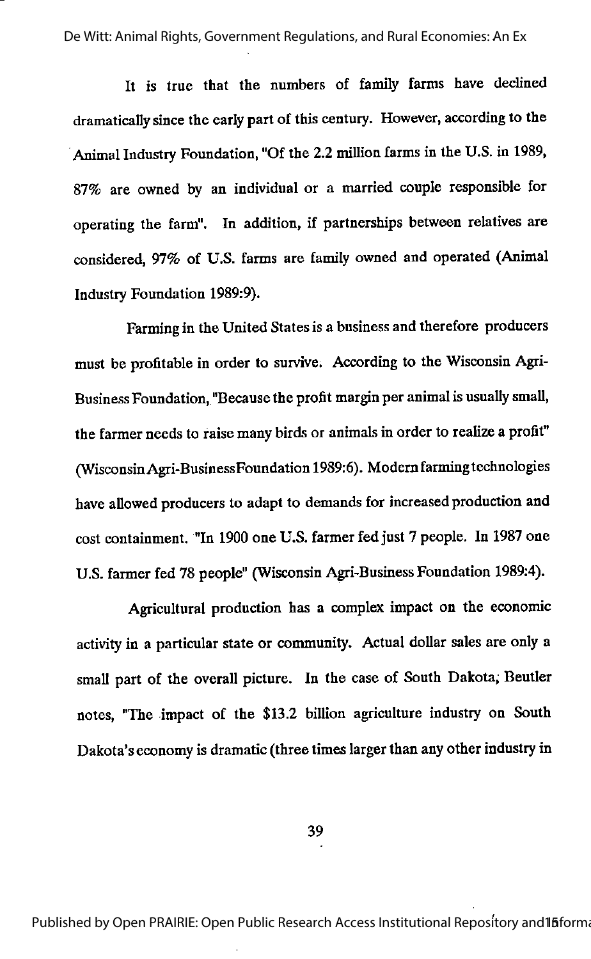De Witt: Animal Rights, Government Regulations, and Rural Economies: An Ex

It is true that the numbers of family farms have declined dramatically since the early part of this century. However, according to the Animal Industry Foundation, "Of the 2.2 million farms in the U.S. in 1989, 87% are owned by an individual or a married couple responsible for operating the farm". In addition, if partnerships between relatives are considered, 97% of U.S. farms are family owned and operated (Animal Industry Foundation 1989:9).

Farming in the United Statesis a business and therefore producers must be profitable in order to survive. According to the Wisconsin Agri-Business Foundation, "Because the profit margin per animal is usually small, the farmer needs to raise many birds or animals in order to realize a profit" (WisconsinAgri-BusinessFoundation 1989:6). Modemfarming technologies have allowed producers to adapt to demands for increased production and cost containment. "In 1900 one U.S. farmer fed just 7 people. In 1987 one U.S. farmer fed 78 people" (Wisconsin Agri-Business Foundation 1989:4).

Agricultural production has a complex impact on the economic activity in a particular state or community. Actual dollar sales are only a small part of the overall picture. In the case of South Dakota, Beutler notes, "The impact of the \$13.2 billion agriculture industry on South Dakota's economy is dramatic (three times larger than any other industry in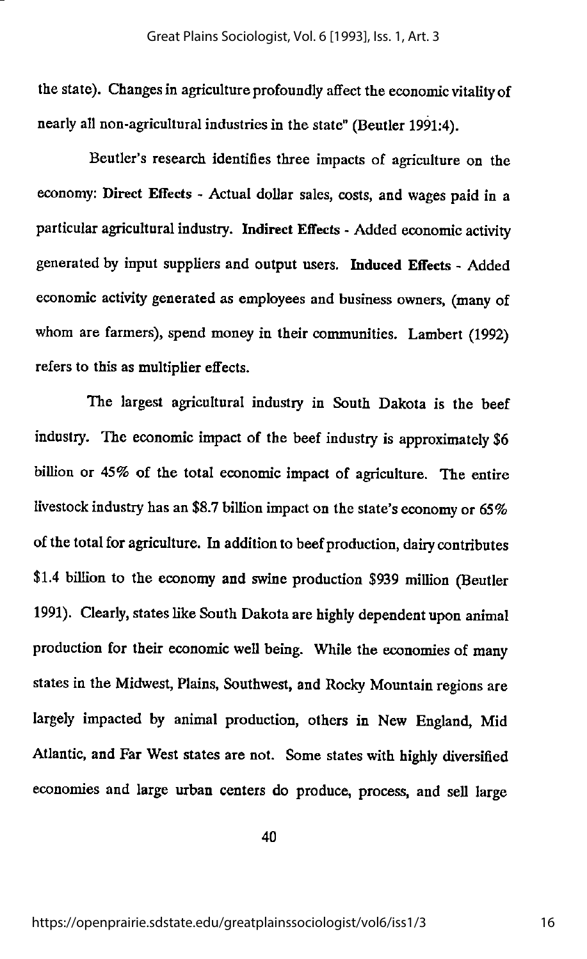the state). Changes in agriculture profoundly affect the economic vitality of nearly all non-agricultural industries in the state" (Beutler 1991:4).

Beutler's research identifies three impacts of agriculture on the economy: Direct Effects - Actual dollar sales, costs, and wages paid in a particular agricultural industry. Indirect Effects - Added economic activity generated by input suppliers and output users. Induced Effects - Added economic activity generated as employees and business owners, (many of whom are farmers), spend money in their communities. Lambert (1992) refers to this as multiplier effects.

The largest agricultural industry in South Dakota is the beef industry. The economic impact of the beefindustry is approximately \$6 billion or 45% of the total economic impact of agriculture. The entire livestock industry has an \$8.7 billion impact on the state's economy or 65% of the total for agriculture. In addition to beef production, dairy contributes \$1.4 billion to the economy and swine production \$939 million (Beutler 1991). Clearly, states like South Dakota are highly dependent upon animal production for their economic well being. While the economies of many states in the Midwest, Plains, Southwest, and Rocky Mountain regions are largely impacted by animal production, others in New England, Mid Atlantic, and Far West states are not. Some states with highly diversified economies and large urban centers do produce, process, and sell large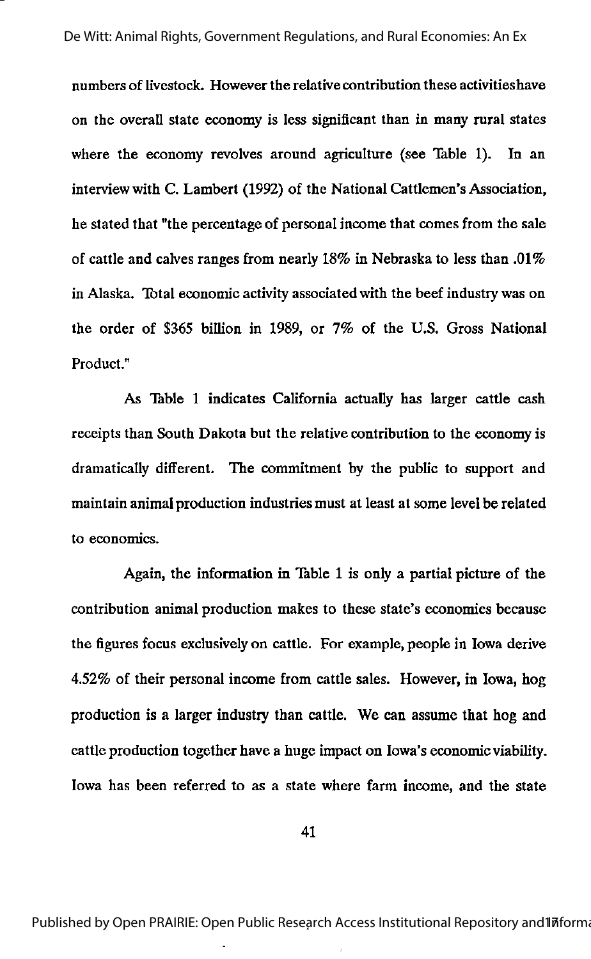numbers of livestock. However the relative contribution these activitieshave on the overall state economy is less significant than in many rural states where the economy revolves around agriculture (see Table 1). In an interview with C. Lambert (1992) of the National Cattlemen's Association, he stated that "the percentage of personal income that comes from the sale of cattle and calves ranges from nearly 18% in Nebraska to less than .01% in Alaska. Total economic activity associated with the beef industry was on the order of \$365 billion in 1989, or 7% of the U.S. Gross National Product."

As Table 1 indicates California actually has larger cattle cash receipts than South Dakota but the relative contribution to the economy is dramatically different. The commitment by the public to support and maintain animal production industries must at least at some level be related to economics.

Again, the information in Table 1 is only a partial picture of the contribution animal production makes to these state's economies because the figures focus exclusively on cattle. For example, people in Iowa derive 4.52% of their personal income from cattle sales. However, in Iowa, hog production is a larger industry than cattle. We can assume that hog and cattle production together have a huge impact on Iowa's economic viability. Iowa has been referred to as a state where farm income, and the state

41

Published by Open PRAIRIE: Open Public Research Access Institutional Repository and Informa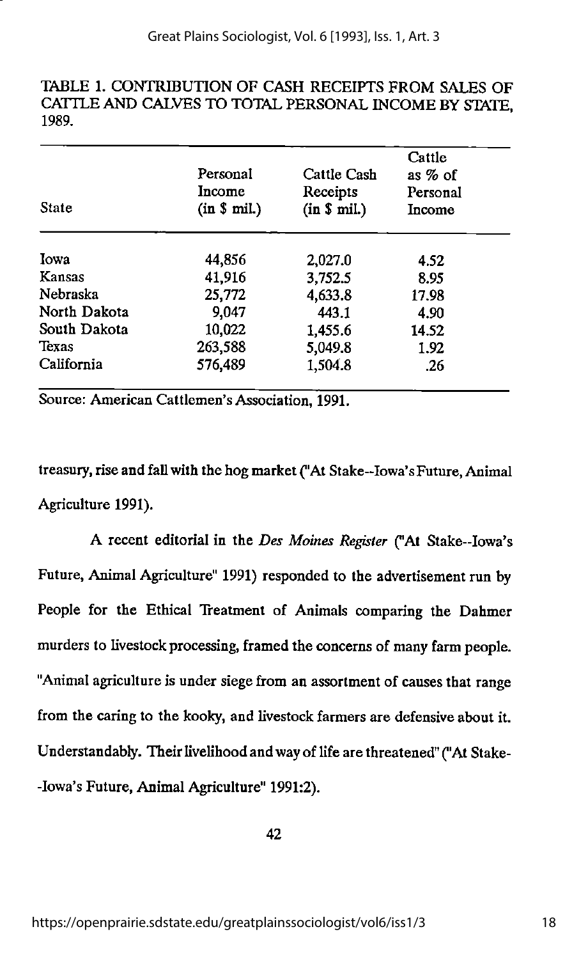#### TABLE 1. CONTRIBUTION OF CASH RECEIPTS FROM SALES OF CATTLE AND CALVES TO TOTAL PERSONAL INCOME BY STATE, 1989.

| <b>State</b> | Personal<br>Income<br>(in \$ mil.) | Cattle Cash<br>Receipts<br>(in \$ mil.) | Cattle<br>as $%$ of<br>Personal<br>Income |
|--------------|------------------------------------|-----------------------------------------|-------------------------------------------|
| Iowa         | 44,856                             | 2,027.0                                 | 4.52                                      |
| Kansas       | 41,916                             | 3,752.5                                 | 8.95                                      |
| Nebraska     | 25,772                             | 4,633.8                                 | 17.98                                     |
| North Dakota | 9,047                              | 443.1                                   | 4.90                                      |
| South Dakota | 10,022                             | 1,455.6                                 | 14.52                                     |
| Texas        | 263,588                            | 5,049.8                                 | 1.92                                      |
| California   | 576,489                            | 1,504.8                                 | .26                                       |

Source: American Cattlemen's Association, 1991.

treasury, rise and fall with the hog market ("At Stake-Iowa'sFuture, Animal Agriculture 1991).

A recent editorial in the Des Moines Register ("At Stake—Iowa's Future, Animal Agriculture" 1991) responded to the advertisement run by People for the Ethical Treatment of Animals comparing the Dahmer murders to livestock processing, framed the concerns of many farm people. "Animal agriculture is under siege from an assortment of causes that range from the caring to the kooky, and livestock farmers are defensive about it. Understandably. Their livelihood and way of life are threatened" ("At Stake--lowa's Future, Animal Agriculture" 1991:2).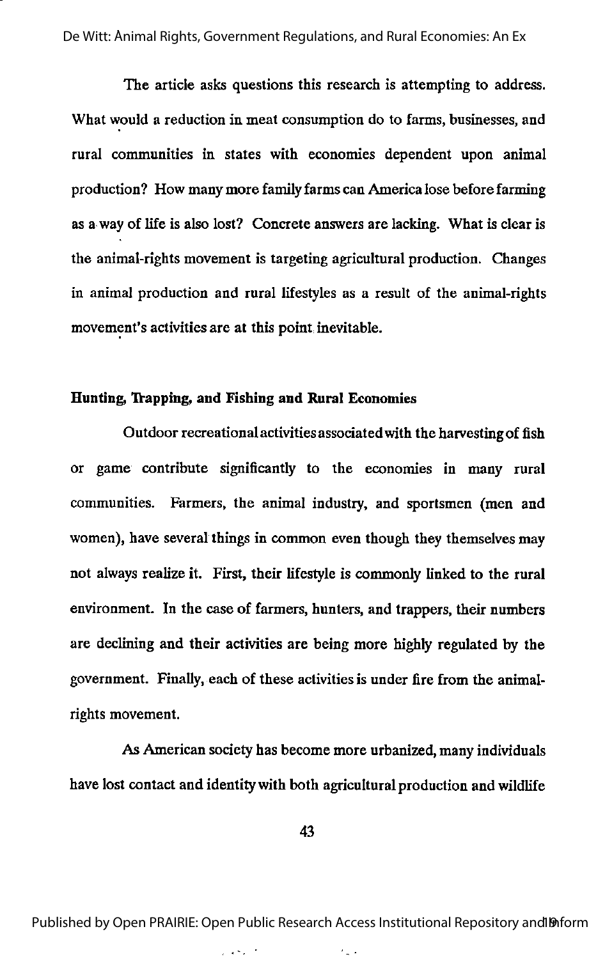The article asks questions this research is attempting to address. What would a reduction in meat consumption do to farms, businesses, and rural communities in states with economies dependent upon animal production? How many more family farms can America lose before farming as a way of life is also lost? Concrete answers are lacking. What is clear is the animal-rights movement is targeting agricultural production. Changes in animal production and rural lifestyles as a result of the animal-rights movement's activities are at this point inevitable.

#### Hunting, Trapping, and Fishing and Rural Economies

Outdoor recreational activitiesassociated with the harvesting of fish or game contribute significantly to the economies in many rural communities. Farmers, the animal industry, and sportsmen (men and women), have several things in common even though they themselves may not always realize it. First, their lifestyle is commonly linked to the rural environment. In the case of farmers, hunters, and trappers, their numbers are declining and their activities are being more highly regulated by the government. Finally, each of these activities is under fire from the animalrights movement.

As American society has become more urbanized, many individuals have lost contact and identity with both agricultural production and wildlife

43

Published by Open PRAIRIE: Open Public Research Access Institutional Repository and Inform

فالمحدث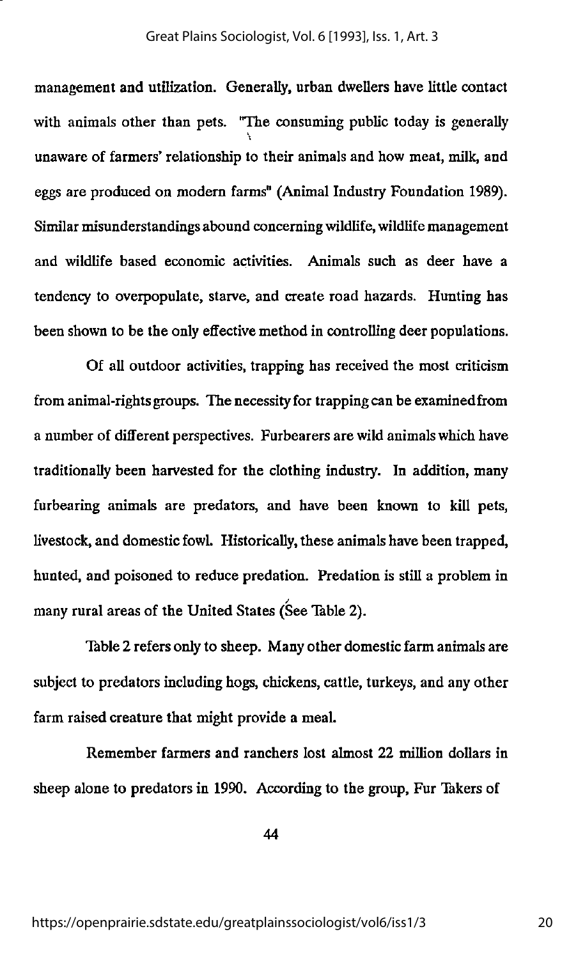management and utilization. Generally, urban dwellers have little contact with animals other than pets. "The consuming public today is generally unaware of farmers\* relationship to their animals and how meat, milk, and eggs are produced on modem farms" (Animal Industry Foundation 1989). Similar misunderstandings abound concerning wildlife,wildlife management and wildlife based economic activities. Animals such as deer have a tendency to overpopulate, starve, and create road hazards. Hunting has been shown to be the only effective method in controlling deer populations.

Of all outdoor activities, trapping has received the most criticism from animal-rights groups. The necessity for trapping can be examinedfrom a number of different perspectives. Furbearers are wild animals which have traditionally been harvested for the clothing industry. In addition, many furbearing animals are predators, and have been known to kill pets, livestock, and domestic fowl. Historically, these animals have been trapped, hunted, and poisoned to reduce predation. Predation is still a problem in / many rural areas of the United States (See Table 2).

Table 2 refers only to sheep. Many other domestic farm animals are subject to predators including hogs, chickens, cattle, turkeys, and any other farm raised creature that might provide a meal.

Remember farmers and ranchers lost almost 22 million dollars in sheep alone to predators in 1990. According to the group, Fur Takers of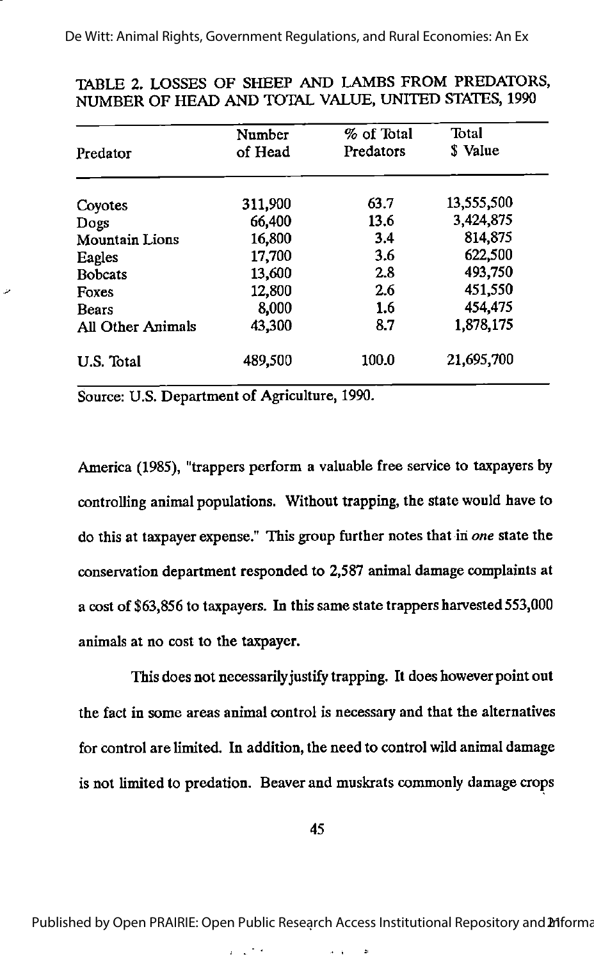|                          | Number  | % of Total | Total<br>\$ Value |  |
|--------------------------|---------|------------|-------------------|--|
| Predator                 | of Head | Predators  |                   |  |
| Coyotes                  | 311,900 | 63.7       | 13,555,500        |  |
| Dogs                     | 66,400  | 13.6       | 3,424,875         |  |
| <b>Mountain Lions</b>    | 16,800  | 3.4        | 814,875           |  |
| Eagles                   | 17,700  | 3.6        | 622,500           |  |
| <b>Bobcats</b>           | 13,600  | 2.8        | 493,750           |  |
| Foxes                    | 12,800  | 2.6        | 451,550           |  |
| <b>Bears</b>             | 8,000   | 1.6        | 454,475           |  |
| <b>All Other Animals</b> | 43,300  | 8.7        | 1,878,175         |  |
| U.S. Total               | 489,500 | 100.0      | 21,695,700        |  |

#### TABLE 2. LOSSES OF SHEEP AND LAMBS FROM PREDATORS, NUMBER OF HEAD AND TOTAL VALUE, UNITED STATES, 1990

Source: U.S. Department of Agriculture, 1990.

America (1985), "trappers perform a valuable free service to taxpayers by controllinganimal populations. Without trapping, the state would have to do this at taxpayer expense." This group further notes that in one state the conservation department responded to 2,587 animal damage complaints at a cost of \$63,856 to taxpayers. In this same state trappers harvested 553,000 animals at no cost to the taxpayer.

This does not necessarily justify trapping. It does however point out the fact in some areas animal control is necessary and that the alternatives for control are limited. In addition, the need to control wild animal damage is not limited to predation. Beaver and muskrats commonly damage crops

Published by Open PRAIRIE: Open Public Research Access Institutional Repository and 21 forma

 $\alpha = \frac{1}{2}$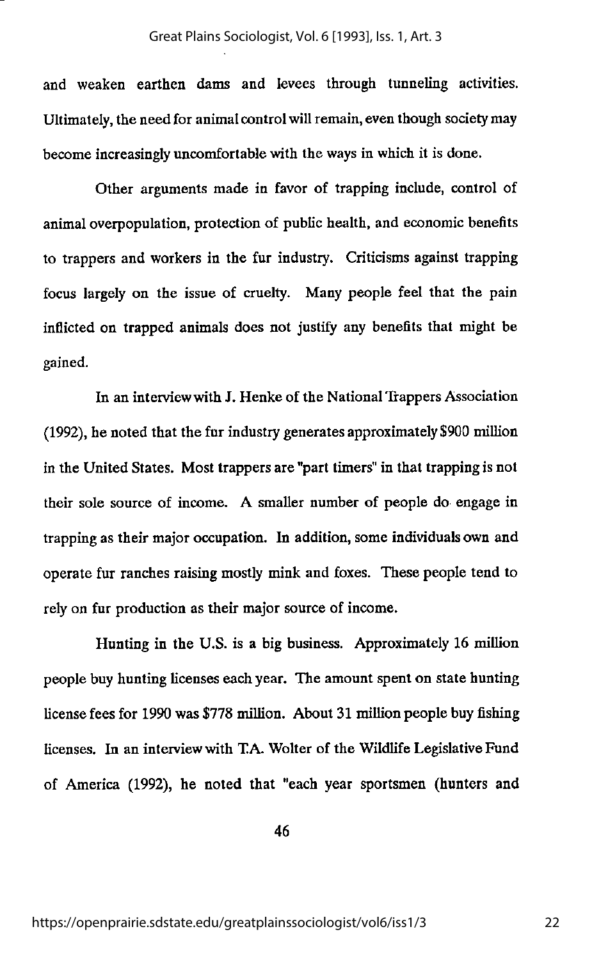and weaken earthen dams and levees through tunneling activities. Ultimately, the need for animal control will remain, even though society may become increasingly uncomfortable with the ways in which it is done.

Other arguments made in favor of trapping include, control of animal overpopulation, protection of public health, and economic benefits to trappers and workers in the fur industry. Criticisms against trapping focus largely on the issue of cruelty. Many people feel that the pain inflicted on trapped animals does not justify any benefits that might be gained.

In an interviewwith J. Henke of the National Trappers Association  $(1992)$ , he noted that the fur industry generates approximately \$900 million in the United States. Most trappers are "part timers" in that trapping is not their sole source of income. A smaller number of people do engage in trapping as their major occupation. In addition, some individualsown and operate fur ranches raising mostly mink and foxes. These people tend to rely on fur production as their major source of income.

Hunting in the U.S. is a big business. Approximately 16 million people buy hunting licenses each year. The amount spent on state hunting license fees for 1990 was \$778 million. About 31 million people buy fishing licenses. In an interview with TA. Wolter of the Wildlife Legislative Fund of America (1992), he noted that "each year sportsmen (hunters and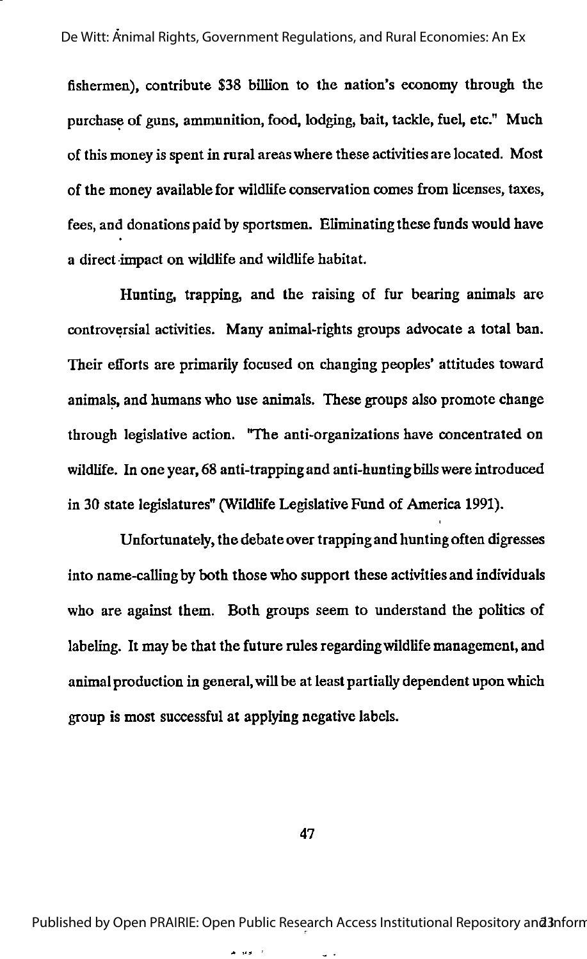fishermen), contribute \$38 billion to the nation's economy through the purchase of guns, ammunition, food, lodging, bait, tackle, fuel, etc." Much of this money is spent in rural areas where these activitiesare located. Most of the money available for wildlife conservation comes from licenses, taxes, fees, and donations paid by sportsmen. Eliminating these funds would have a direct impact on wildlife and wildlife habitat.

Hunting, trapping, and the raising of fur bearing animals are controversial activities. Many animal-rights groups advocate a total ban. Their efforts are primarily focused on changing peoples' attitudes toward animals, and humans who use animals. These groups also promote change through legislative action. "The anti-organizations have concentrated on wildlife. In one year, 68 anti-trapping and anti-hunting billswere introduced in 30 state legislatures" (Wildlife Legislative Fund of America 1991).

Unfortunately, the debate over trapping and hunting often digresses into name-calling by both those who support these activities and individuals who are against them. Both groups seem to understand the politics of labeling. It may be that the future rules regardingwildlife management, and animal production in general,will be at least partially dependent upon which group is most successful at applying negative labels.

47

Published by Open PRAIRIE: Open Public Research Access Institutional Repository and 3nform

د الأموالية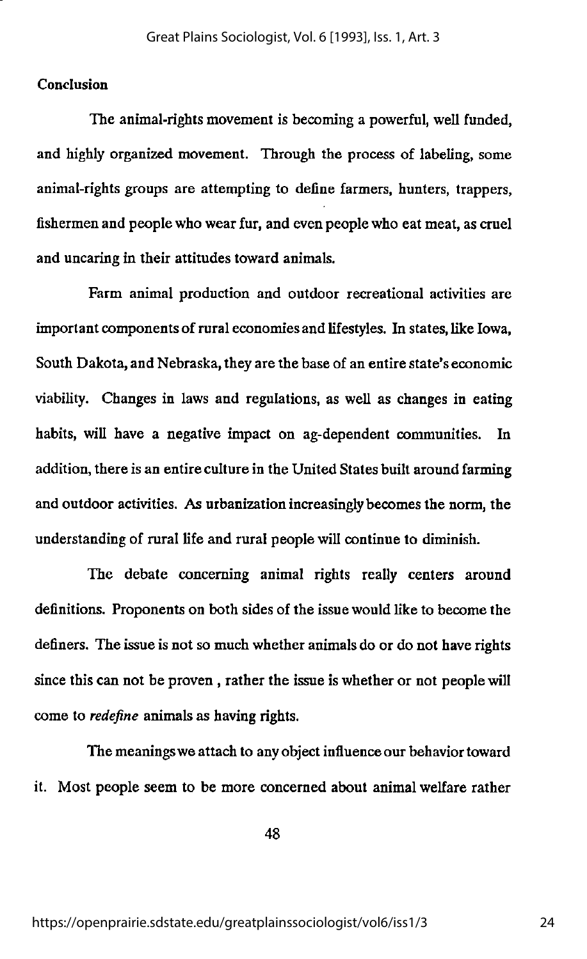#### Conclusion

The animal-rights movement is becoming a powerful, well funded, and highly organized movement. Through the process of labeling, some animal-rights groups are attempting to define farmers, hunters, trappers, fishermen and people who wear fur, and even people who eat meat, as cruel and uncaring in their attitudes toward animals.

Farm animal production and outdoor recreational activities are important components of rural economies and lifestyles. In states, like Iowa, South Dakota, and Nebraska, they are the base of an entire state's economic viability. Changes in laws and regulations, as well as changes in eating habits, will have a negative impact on ag-dependent communities. In addition, there is an entire culture in the United States built around farming and outdoor activities. As urbanization increasingly becomes the norm, the understanding of rural life and rural people will continue to diminish.

The debate concerning animal rights really centers around definitions. Proponents on both sides of the issue would like to become the definers. The issue is not so much whether animals do or do not have rights since this can not be proven, rather the issue is whether or not people will come to redefine animals as having rights.

The meaningswe attach to any object influence our behaviortoward it. Most people seem to be more concerned about animal welfare rather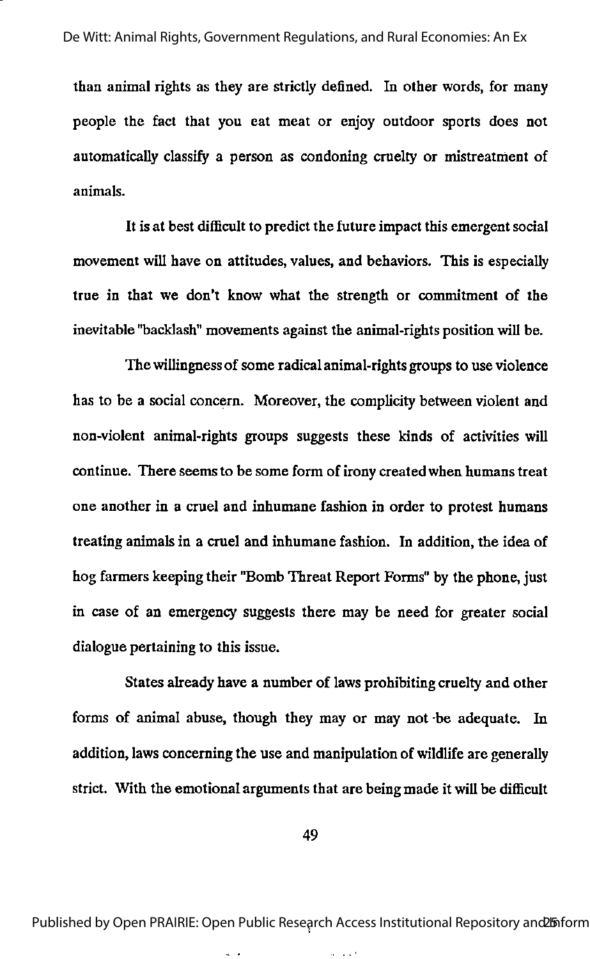than animal rights as they are strictly defined. In other words, for many people the fact that you eat meat or enjoy outdoor sports does not automatically classify a person as condoning cruelty or mistreatment of animals.

It is at best difficult to predict the future impact this emergent social movement will have on attitudes, values, and behaviors. This is especially true in that we don't know what the strength or commitment of the inevitable "backlash" movements against the animal-rights position will be.

The willingnessof some radical animal-rights groups to use violence has to be a social concern. Moreover, the complicity between violent and non-violent animal-rights groups suggests these kinds of activities will continue. There seems to be some form of irony createdwhen humans treat one another in a cruel and inhumane fashion in order to protest humans treating animals in a cruel and inhumane fashion. In addition, the idea of hog farmers keeping their "Bomb Threat Report Forms" by the phone, just in case of an emergency suggests there may be need for greater social dialogue pertaining to this issue.

States already have a number of laws prohibiting cruelty and other forms of animal abuse, though they may or may not be adequate. In addition, laws concerning the use and manipulation of wildlife are generally strict. With the emotional arguments that are being made it will be difficult

49

Published by Open PRAIRIE: Open Public Research Access Institutional Repository and biform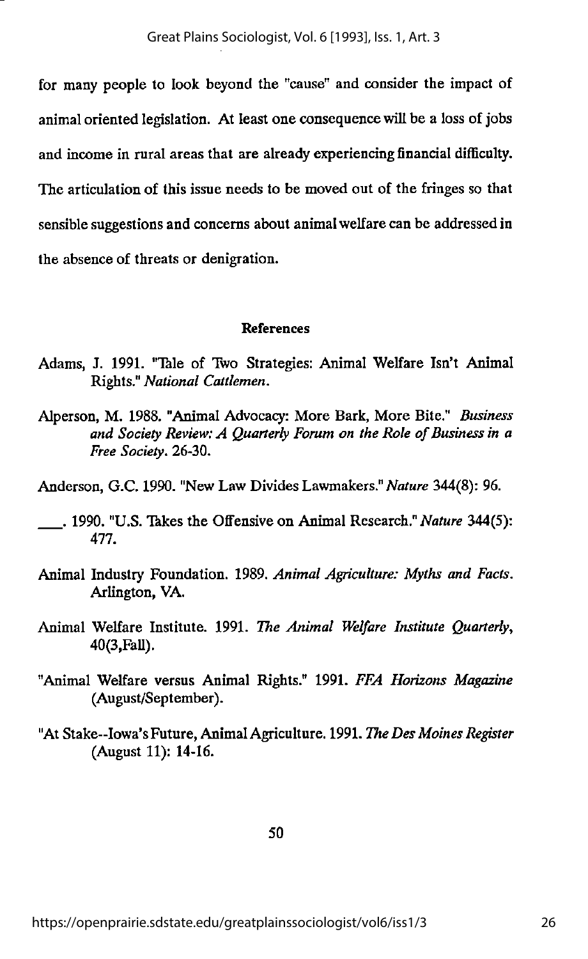for many people to look beyond the "cause" and consider the impact of animal oriented legislation. At least one consequence will be a loss of jobs and income in rural areas that are already experiencing financial difficulty. The articulation of this issue needs to be moved out of the fringes so that sensible suggestions and concerns about animal welfare can be addressed in the absence of threats or denigration.

#### References

- Adams, J. 1991. "Thle of Two Strategies: Animal Welfare Isn't Animal Rights." National Cattlemen.
- Alperson, M. 1988. "Animal Advocacy: More Bark, More Bite." Business and Society Review:  $A$  Quarterly Forum on the Role of Business in a Free Society. 26-30.
- Anderson, G.C. 1990. "New Law Divides Lawmakers." Nature 344(8): 96.
- . 1990. "U.S. Takes the Offensive on Animal Research." Nature 344(5): 477.
- Animal Industry Foundation. 1989. Animal Agriculture: Myths and Facts. Arlington, VA.
- Animal Welfare Institute. 1991. The Animal Welfare Institute Quarterly, 40(3,FaU).
- "Animal Welfare versus Animal Rights." 1991. FFA Horizons Magazine (August/September).
- "At Stake--Iowa's Future, Animal Agriculture. 1991. The Des Moines Register (August 11): 14-16.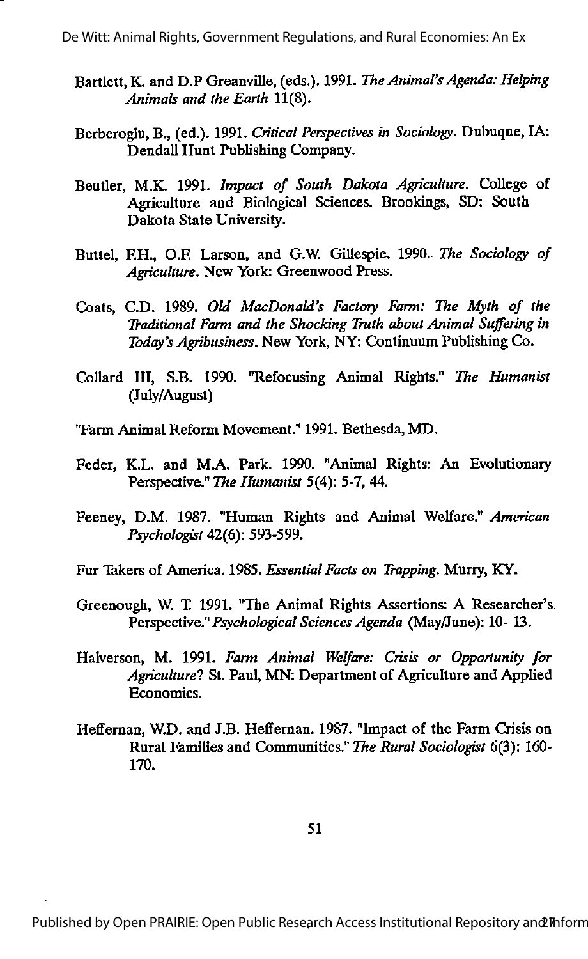De Witt: Animal Rights, Government Regulations, and Rural Economies: An Ex

- Bartlett, K. and D.P Greanville, (eds.). 1991. The Animal's Agenda: Helping Animals and the Earth 11(8).
- Berberoglu, B., (ed.). 1991. Critical Perspectives in Sociology. Dubuque, IA: Dendall Hunt Publishing Company.
- Beutler, M.K. 1991. Impact of South Dakota Agriculture. College of Agriculture and Biological Sciences. Brookings, SD: South Dakota State University.
- Buttel, F.H., O.F. Larson, and G.W. Gillespie. 1990. The Sociology of Agriculture. New York: Greenwood Press.
- Coats, C.D. 1989. Old MacDonald's Factory Farm: The Myth of the Traditional Farm and the Shocking Truth about Animal Suffering in Today's Agribusiness. New York, NY: Continuum Publishing Co.
- Collard III, S.B. 1990. "Refocusing Animal Rights." The Humanist (July/August)
- "Farm Animal Reform Movement." 1991. Bethesda, MD.
- Feder, K.L. and M.A. Park. 1990. "Animal Rights: An Evolutionary Perspective." The Humanist 5(4): 5-7, 44.
- Feeney, D.M. 1987. "Human Rights and Animal Welfare." American Psychologist 42(6): 593-599.
- Fur Takers of America. 1985. Essential Facts on Trapping. Murry, KY.
- Greenough, W. T 1991. "The Animal Rights Assertions: A Researcher's Perspective." Psychological Sciences Agenda (May/June): 10- 13.
- Halverson, M. 1991. Farm Animal Welfare: Crisis or Opportunity for Agriculture? St. Paul, MN: Department of Agriculture and Applied Economics.
- Heffernan, W.D. and J.B. Heffernan. 1987. "Impact of the Farm Crisis on Rural Families and Communities." The Rural Sociologist 6(3): 160- 170.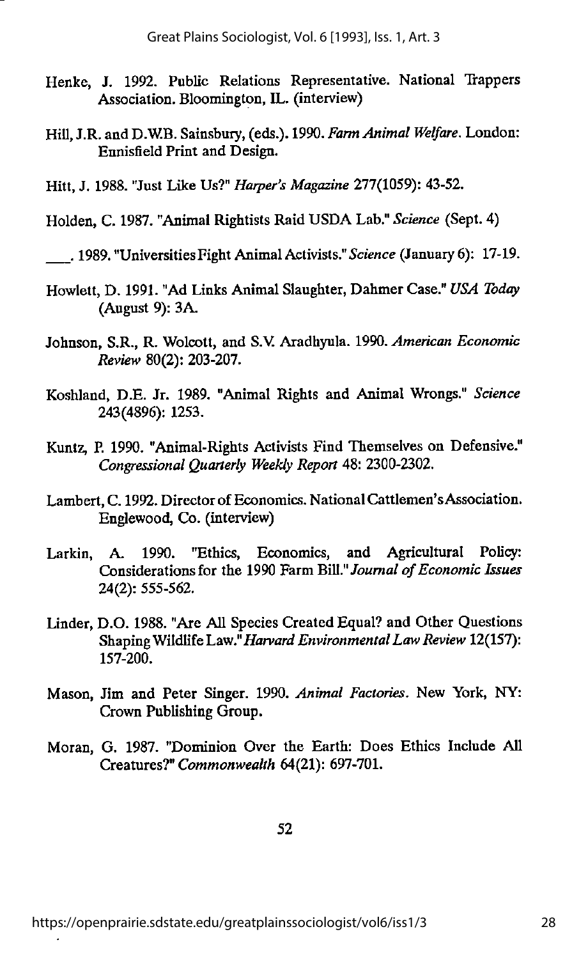- Henke, J. 1992. Public Relations Representative. National Trappers Association. Bloomington, IL. (interview)
- Hill, J.R. and D.W.B. Sainsbury, (eds.). 1990. Farm Animal Welfare. London: Ennisfield Print and Design.
- Hitt, J. 1988. "Just Like Us?" Harper's Magazine 277(1059): 43-52.
- Holden, C. 1987. "Animal Rightists Raid USDA Lab." Science (Sept. 4)

, 1989. "UniversitiesFight AnimalActivists."Science (January 6): 17-19.

- Hewlett, D. 1991. "Ad Links Animal Slaughter, Dahmer Case." USA Today (August 9): 3A.
- Johnson, S.R., R. Wolcott, and S.V. Aradhyula. 1990. American Economic Review 80(2): 203-207.
- Koshland, D.E. Jr. 1989, "Animal Rights and Animal Wrongs." Science 243(4896): 1253.
- Kuntz, P. 1990. "Animal-Rights Activists Find Themselves on Defensive." Congressional Quarterly Weekly Report 48: 2300-2302.
- Lambert, C. 1992. Director of Economics. National Cattlemen's Association. Englewood, Co. (interview)
- Larkin, A. 1990. "Ethics, Economics, and Agricultural Policy: Considerations for the 1990 Farm Bill." Journal of Economic Issues 24(2): 555-562.
- Linder, D.0.1988. "Are All Species Created Equal? and Other Questions Shaping Wildlife Law." Harvard Environmental Law Review 12(157): 157-200.
- Mason, Jim and Peter Singer. 1990. Animal Factories. New York, NY: Crown Publishing Group.
- Moran, G. 1987. "Dominion Over the Earth: Does Ethics Include All Creatures?" Commonwealth 64(21): 697-701.